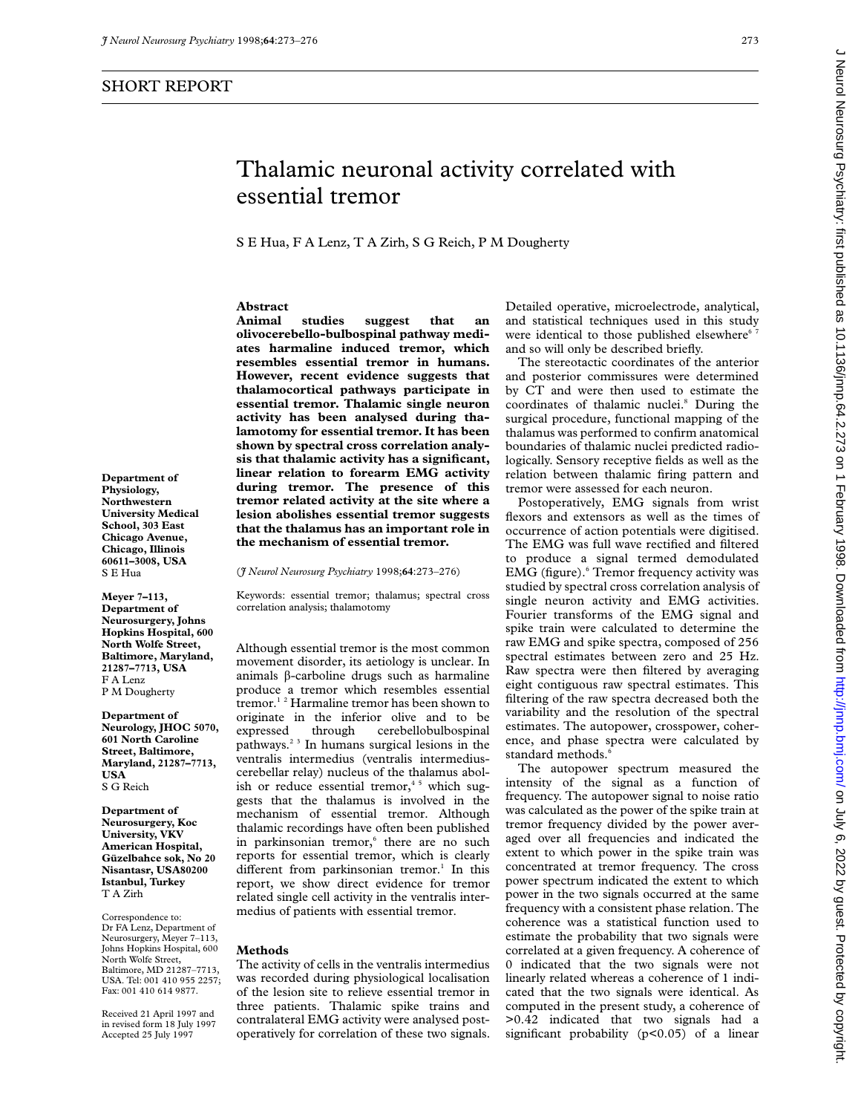## SHORT REPORT

J Neurol Neurosurg Psychiatry: first published as 10.1136/jnnp.64.2.273 on 1 February 1998. Downloaded from http://jnnp.bmj.com/ on July 6, 2022 by guest. Protected by copyright ment way water Protected by Gasts performanced as to 1998. Downloaded from Android Protect Protected Protected by Gasts Published as 10.11367. July 6, 2020 by Gasts Published as 10.11367. Duny 6, 2020 on Index and the Herm

# Thalamic neuronal activity correlated with essential tremor

S E Hua, F A Lenz, T A Zirh, S G Reich, P M Dougherty

## **Abstract**

**Animal studies suggest that an olivocerebello-bulbospinal pathway mediates harmaline induced tremor, which resembles essential tremor in humans. However, recent evidence suggests that thalamocortical pathways participate in essential tremor. Thalamic single neuron activity has been analysed during thalamotomy for essential tremor. It has been shown by spectral cross correlation analysis that thalamic activity has a significant, linear relation to forearm EMG activity during tremor. The presence of this tremor related activity at the site where a lesion abolishes essential tremor suggests that the thalamus has an important role in the mechanism of essential tremor.**

(*J Neurol Neurosurg Psychiatry* 1998;**64**:273–276)

Keywords: essential tremor; thalamus; spectral cross correlation analysis; thalamotomy

Although essential tremor is the most common movement disorder, its aetiology is unclear. In animals â-carboline drugs such as harmaline produce a tremor which resembles essential tremor.1 2 Harmaline tremor has been shown to originate in the inferior olive and to be expressed through cerebellobulbospinal pathways.2 3 In humans surgical lesions in the ventralis intermedius (ventralis intermediuscerebellar relay) nucleus of the thalamus abolish or reduce essential tremor,<sup>45</sup> which suggests that the thalamus is involved in the mechanism of essential tremor. Although thalamic recordings have often been published in parkinsonian tremor,<sup>6</sup> there are no such reports for essential tremor, which is clearly different from parkinsonian tremor.<sup>1</sup> In this report, we show direct evidence for tremor related single cell activity in the ventralis intermedius of patients with essential tremor.

#### **Methods**

The activity of cells in the ventralis intermedius was recorded during physiological localisation of the lesion site to relieve essential tremor in three patients. Thalamic spike trains and contralateral EMG activity were analysed postoperatively for correlation of these two signals. Detailed operative, microelectrode, analytical, and statistical techniques used in this study were identical to those published elsewhere<sup>6</sup> and so will only be described briefly.

The stereotactic coordinates of the anterior and posterior commissures were determined by CT and were then used to estimate the coordinates of thalamic nuclei.8 During the surgical procedure, functional mapping of the thalamus was performed to confirm anatomical boundaries of thalamic nuclei predicted radiologically. Sensory receptive fields as well as the relation between thalamic firing pattern and tremor were assessed for each neuron.

Postoperatively, EMG signals from wrist flexors and extensors as well as the times of occurrence of action potentials were digitised. The EMG was full wave rectified and filtered to produce a signal termed demodulated EMG (figure).<sup>6</sup> Tremor frequency activity was studied by spectral cross correlation analysis of single neuron activity and EMG activities. Fourier transforms of the EMG signal and spike train were calculated to determine the raw EMG and spike spectra, composed of 256 spectral estimates between zero and 25 Hz. Raw spectra were then filtered by averaging eight contiguous raw spectral estimates. This filtering of the raw spectra decreased both the variability and the resolution of the spectral estimates. The autopower, crosspower, coherence, and phase spectra were calculated by standard methods.<sup>6</sup>

The autopower spectrum measured the intensity of the signal as a function of frequency. The autopower signal to noise ratio was calculated as the power of the spike train at tremor frequency divided by the power averaged over all frequencies and indicated the extent to which power in the spike train was concentrated at tremor frequency. The cross power spectrum indicated the extent to which power in the two signals occurred at the same frequency with a consistent phase relation. The coherence was a statistical function used to estimate the probability that two signals were correlated at a given frequency. A coherence of 0 indicated that the two signals were not linearly related whereas a coherence of 1 indicated that the two signals were identical. As computed in the present study, a coherence of >0.42 indicated that two signals had a significant probability (p<0.05) of a linear

**Department of Physiology, Northwestern University Medical School, 303 East Chicago Avenue, Chicago, Illinois 60611–3008, USA** S E Hua

**Meyer 7–113, Department of Neurosurgery, Johns Hopkins Hospital, 600 North Wolfe Street, Baltimore, Maryland, 21287–7713, USA** F A Lenz P M Dougherty

**Department of Neurology, JHOC 5070, 601 North Caroline Street, Baltimore, Maryland, 21287–7713, USA** S G Reich

**Department of Neurosurgery, Koc University, VKV American Hospital, Güzelbahce sok, No 20 Nisantasr, USA80200 Istanbul, Turkey** T A Zirh

Correspondence to: Dr FA Lenz, Department of Neurosurgery, Meyer 7–113, Johns Hopkins Hospital, 600 North Wolfe Street, Baltimore, MD 21287–7713, USA. Tel: 001 410 955 2257; Fax: 001 410 614 9877.

Received 21 April 1997 and in revised form 18 July 1997 Accepted 25 July 1997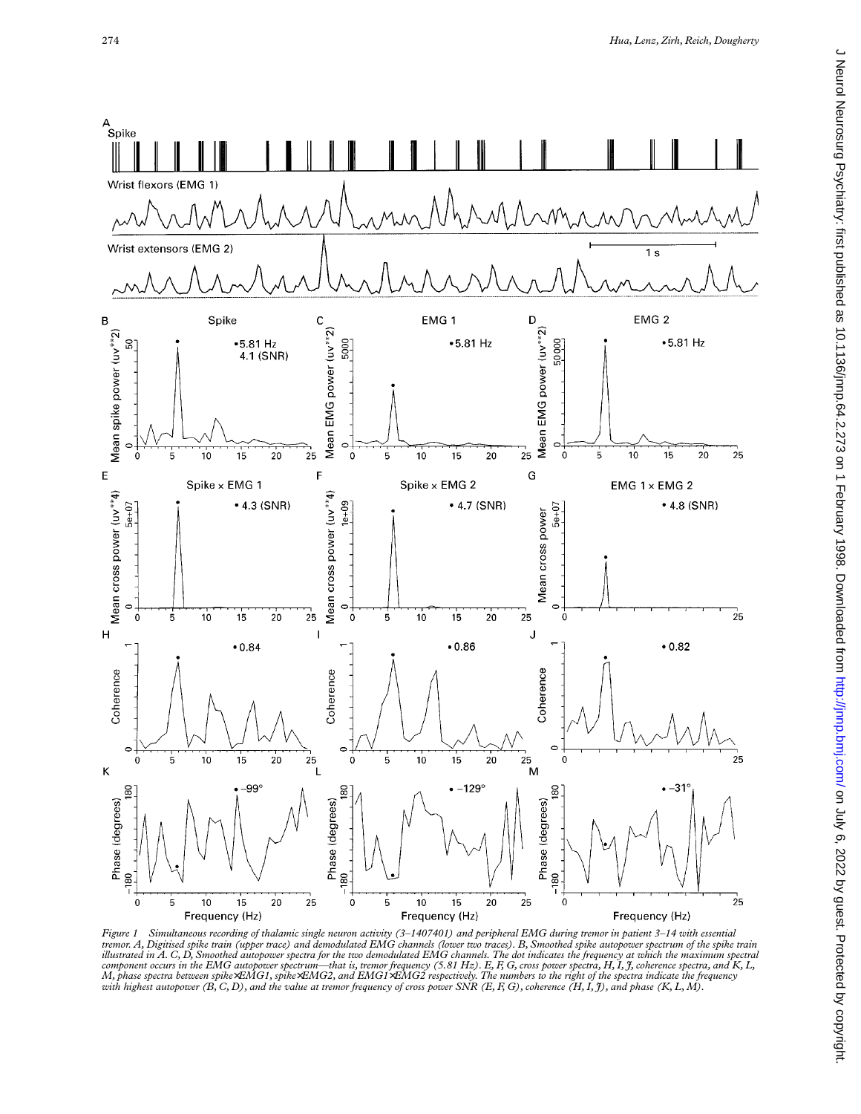

Figure 1 – Simultaneous recording of thalamic single neuron activity (3–1407401) and peripheral EMG during tremor in patient 3–14 with essential<br>tremor. A, Digitised spike train (upper trace) and demodulated EMG channels ( component occurs in the EMG autopower spectrum—that is, tremor frequency (5.81 Hz). E, F, G, cross power spectra, H, I, J, coherence spectra, and K, L,<br>M, phase spectra between spike×EMG1, spike×EMG2, and EMG1×EMG2 respect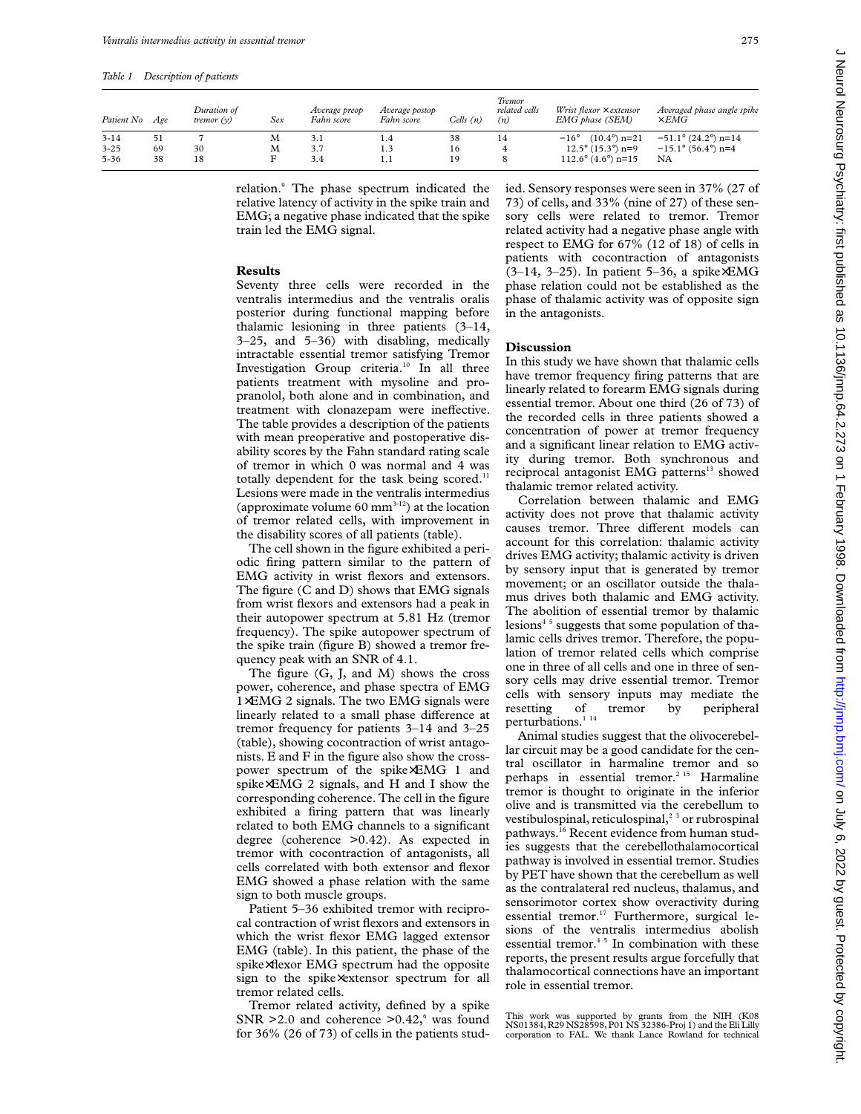| Patient No | Age | Duration of<br>tremor $(v)$ | Sex | Average preop<br>Fahn score | Average postop<br>Fahn score | Cells (n) | <b>Tremor</b><br>related cells<br>(n) | Wrist flexor $\times$ extensor<br>EMG phase (SEM) | Averaged phase angle spike<br>$\times$ EMG |
|------------|-----|-----------------------------|-----|-----------------------------|------------------------------|-----------|---------------------------------------|---------------------------------------------------|--------------------------------------------|
| $3 - 14$   | 51  |                             | М   | 3.1                         | 1.4                          | 38        | 14                                    | $(10.4^{\circ})$ n=21<br>$-16^{\circ}$            | $-51.1^{\circ}$ (24.2°) n=14               |
| $3 - 25$   | 69  | 30                          | М   | 3.7                         | 1.3                          | 16        |                                       | $12.5^{\circ}$ (15.3°) n=9                        | $-15.1^{\circ}$ (56.4°) n=4                |
| $5 - 36$   | 38  | 18                          |     | 3.4                         | 1.1                          | 19        |                                       | $112.6^{\circ}$ (4.6°) n=15                       | NA                                         |

relation.<sup>9</sup> The phase spectrum indicated the relative latency of activity in the spike train and EMG; a negative phase indicated that the spike train led the EMG signal.

## **Results**

Seventy three cells were recorded in the ventralis intermedius and the ventralis oralis posterior during functional mapping before thalamic lesioning in three patients (3–14, 3–25, and 5–36) with disabling, medically intractable essential tremor satisfying Tremor Investigation Group criteria.<sup>10</sup> In all three patients treatment with mysoline and propranolol, both alone and in combination, and treatment with clonazepam were ineffective. The table provides a description of the patients with mean preoperative and postoperative disability scores by the Fahn standard rating scale of tremor in which 0 was normal and 4 was totally dependent for the task being scored. $11$ Lesions were made in the ventralis intermedius (approximate volume  $60 \text{ mm}^{3-12}$ ) at the location of tremor related cells, with improvement in the disability scores of all patients (table).

The cell shown in the figure exhibited a periodic firing pattern similar to the pattern of EMG activity in wrist flexors and extensors. The figure (C and D) shows that EMG signals from wrist flexors and extensors had a peak in their autopower spectrum at 5.81 Hz (tremor frequency). The spike autopower spectrum of the spike train (figure B) showed a tremor frequency peak with an SNR of 4.1.

The figure (G, J, and M) shows the cross power, coherence, and phase spectra of EMG 1×EMG 2 signals. The two EMG signals were linearly related to a small phase difference at tremor frequency for patients 3–14 and 3–25 (table), showing cocontraction of wrist antagonists. E and F in the figure also show the crosspower spectrum of the spike×EMG 1 and spike×EMG 2 signals, and H and I show the corresponding coherence. The cell in the figure exhibited a firing pattern that was linearly related to both EMG channels to a significant degree (coherence >0.42). As expected in tremor with cocontraction of antagonists, all cells correlated with both extensor and flexor EMG showed a phase relation with the same sign to both muscle groups.

Patient 5–36 exhibited tremor with reciprocal contraction of wrist flexors and extensors in which the wrist flexor EMG lagged extensor EMG (table). In this patient, the phase of the spike×flexor EMG spectrum had the opposite sign to the spike×extensor spectrum for all tremor related cells.

Tremor related activity, defined by a spike SNR  $>2.0$  and coherence  $>0.42$ , was found for 36% (26 of 73) of cells in the patients studied. Sensory responses were seen in 37% (27 of 73) of cells, and 33% (nine of 27) of these sensory cells were related to tremor. Tremor related activity had a negative phase angle with respect to EMG for 67% (12 of 18) of cells in patients with cocontraction of antagonists (3–14, 3–25). In patient 5–36, a spike×EMG phase relation could not be established as the phase of thalamic activity was of opposite sign in the antagonists.

#### **Discussion**

In this study we have shown that thalamic cells have tremor frequency firing patterns that are linearly related to forearm EMG signals during essential tremor. About one third (26 of 73) of the recorded cells in three patients showed a concentration of power at tremor frequency and a significant linear relation to EMG activity during tremor. Both synchronous and reciprocal antagonist EMG patterns<sup>13</sup> showed thalamic tremor related activity.

Correlation between thalamic and EMG activity does not prove that thalamic activity causes tremor. Three different models can account for this correlation: thalamic activity drives EMG activity; thalamic activity is driven by sensory input that is generated by tremor movement; or an oscillator outside the thalamus drives both thalamic and EMG activity. The abolition of essential tremor by thalamic lesions<sup>45</sup> suggests that some population of thalamic cells drives tremor. Therefore, the population of tremor related cells which comprise one in three of all cells and one in three of sensory cells may drive essential tremor. Tremor cells with sensory inputs may mediate the resetting of tremor by peripheral perturbations.<sup>1</sup><sup>14</sup>

Animal studies suggest that the olivocerebellar circuit may be a good candidate for the central oscillator in harmaline tremor and so perhaps in essential tremor.<sup>2 15</sup> Harmaline tremor is thought to originate in the inferior olive and is transmitted via the cerebellum to vestibulospinal, reticulospinal,<sup>23</sup> or rubrospinal pathways.<sup>16</sup> Recent evidence from human studies suggests that the cerebellothalamocortical pathway is involved in essential tremor. Studies by PET have shown that the cerebellum as well as the contralateral red nucleus, thalamus, and sensorimotor cortex show overactivity during essential tremor.<sup>17</sup> Furthermore, surgical lesions of the ventralis intermedius abolish essential tremor.<sup>45</sup> In combination with these reports, the present results argue forcefully that thalamocortical connections have an important role in essential tremor.

This work was supported by grants from the NIH (K08 NS01384, R29 NS28598, P01 NS 32386-Proj 1) and the Eli Lilly corporation to FAL. We thank Lance Rowland for technical